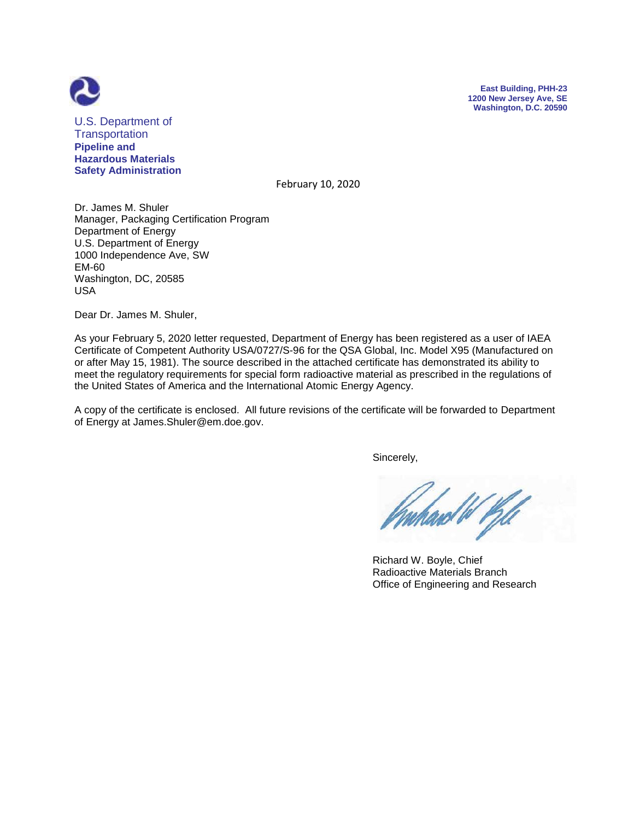



U.S. Department of **Transportation Pipeline and Hazardous Materials Safety Administration**

February 10, 2020

Dr. James M. Shuler Manager, Packaging Certification Program Department of Energy U.S. Department of Energy 1000 Independence Ave, SW EM-60 Washington, DC, 20585 USA

Dear Dr. James M. Shuler,

As your February 5, 2020 letter requested, Department of Energy has been registered as a user of IAEA Certificate of Competent Authority USA/0727/S-96 for the QSA Global, Inc. Model X95 (Manufactured on or after May 15, 1981). The source described in the attached certificate has demonstrated its ability to meet the regulatory requirements for special form radioactive material as prescribed in the regulations of the United States of America and the International Atomic Energy Agency.

A copy of the certificate is enclosed. All future revisions of the certificate will be forwarded to Department of Energy at James.Shuler@em.doe.gov.

Sincerely,

ard W Pill

 Richard W. Boyle, Chief Radioactive Materials Branch Office of Engineering and Research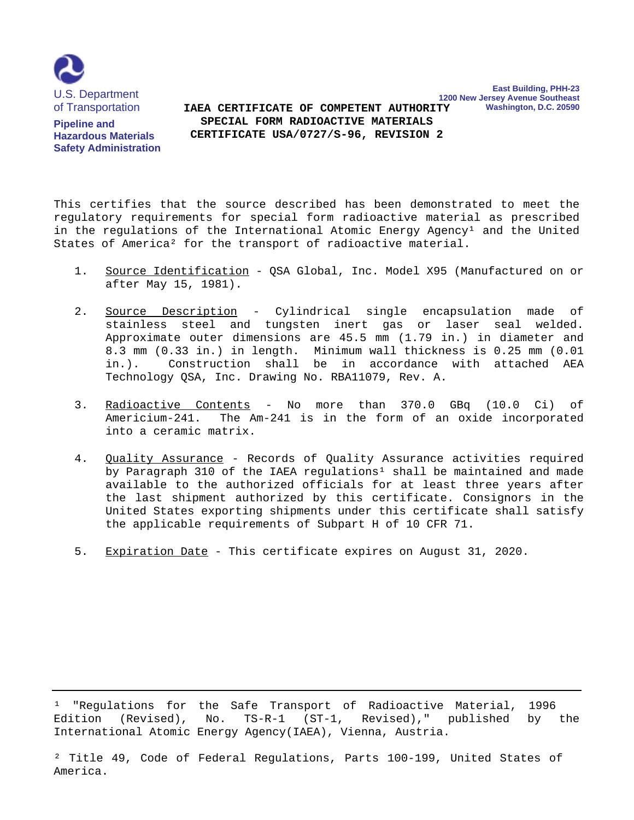

**Pipeline and Hazardous Materials Safety Administration**

**1200 New Jersey Avenue Southeast Washington, D.C. 20590 SPECIAL FORM RADIOACTIVE MATERIALS IAEA CERTIFICATE OF COMPETENT AUTHORITY CERTIFICATE USA/0727/S-96, REVISION 2**

**East Building, PHH-23**

This certifies that the source described has been demonstrated to meet the regulatory requirements for special form radioactive material as prescribed in the regulations of the International Atomic Energy Agency<sup>1</sup> and the United States of America² for the transport of radioactive material.

- 1. Source Identification QSA Global, Inc. Model X95 (Manufactured on or after May 15, 1981).
- 2. Source Description Cylindrical single encapsulation made of stainless steel and tungsten inert gas or laser seal welded. Approximate outer dimensions are 45.5 mm (1.79 in.) in diameter and 8.3 mm (0.33 in.) in length. Minimum wall thickness is 0.25 mm (0.01 in.). Construction shall be in accordance with attached AEA Technology QSA, Inc. Drawing No. RBA11079, Rev. A.
- 3. Radioactive Contents No more than 370.0 GBq (10.0 Ci) of Americium-241. The Am-241 is in the form of an oxide incorporated into a ceramic matrix.
- 4. Quality Assurance Records of Quality Assurance activities required by Paragraph 310 of the IAEA regulations<sup>1</sup> shall be maintained and made available to the authorized officials for at least three years after the last shipment authorized by this certificate. Consignors in the United States exporting shipments under this certificate shall satisfy the applicable requirements of Subpart H of 10 CFR 71.
- 5. Expiration Date This certificate expires on August 31, 2020.

<sup>1</sup> "Regulations for the Safe Transport of Radioactive Material, 1996 Edition (Revised), No. TS-R-1 (ST-1, Revised)," published by the International Atomic Energy Agency(IAEA), Vienna, Austria.

 ² Title 49, Code of Federal Regulations, Parts 100-199, United States of America.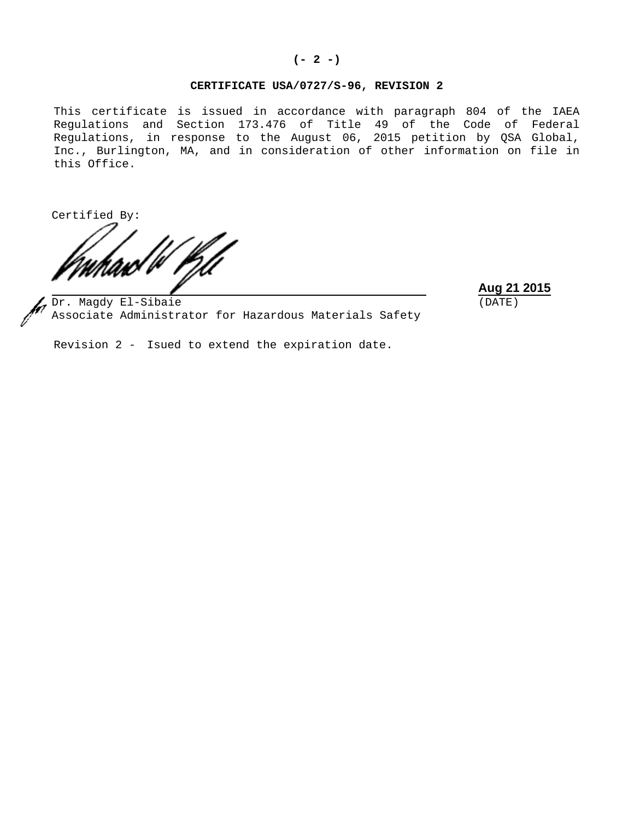#### **(- 2 -)**

# **CERTIFICATE USA/0727/S-96, REVISION 2**

This certificate is issued in accordance with paragraph 804 of the IAEA Regulations and Section 173.476 of Title 49 of the Code of Federal Regulations, in response to the August 06, 2015 petition by QSA Global, Inc., Burlington, MA, and in consideration of other information on file in this Office.

Certified By:

**Aug 21 2015** (DATE)

Dr. Magdy El-Sibaie Associate Administrator for Hazardous Materials Safety

Revision 2 - Isued to extend the expiration date.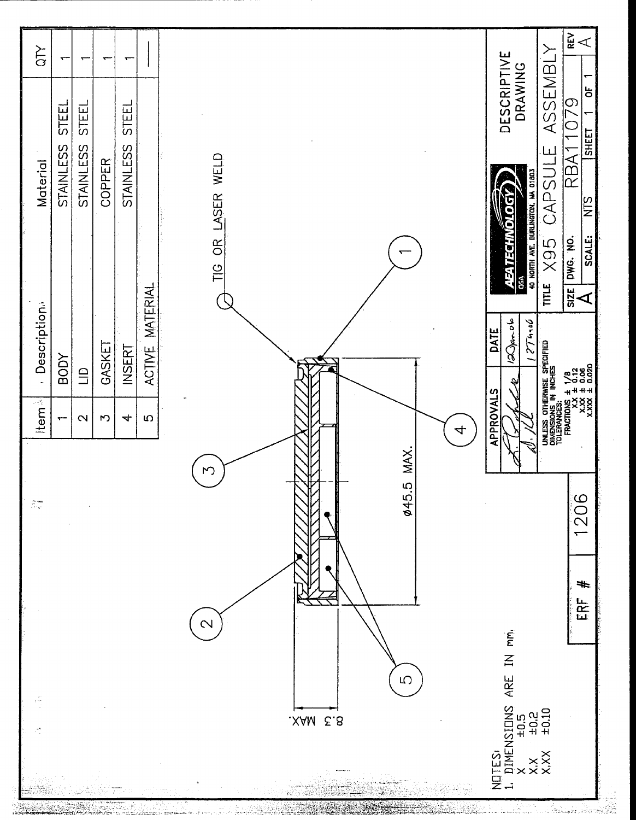